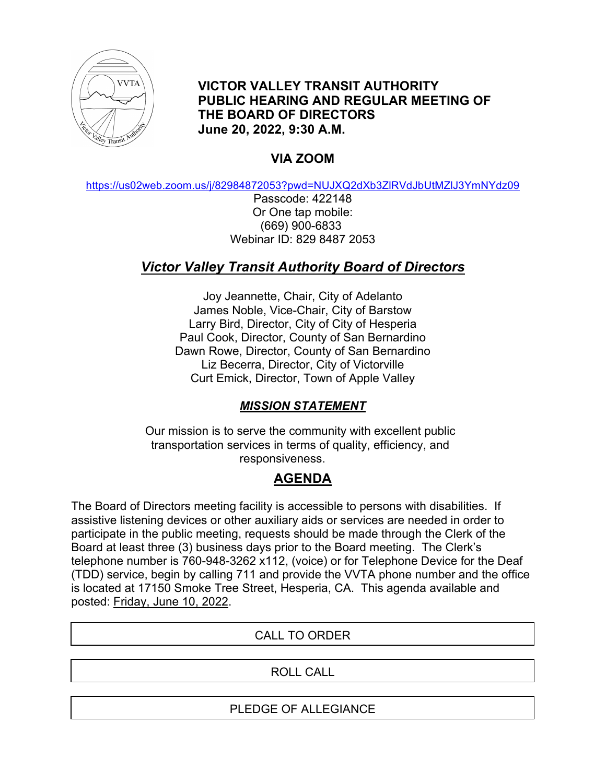

**VICTOR VALLEY TRANSIT AUTHORITY PUBLIC HEARING AND REGULAR MEETING OF THE BOARD OF DIRECTORS June 20, 2022, 9:30 A.M.**

# **VIA ZOOM**

https://us02web.zoom.us/j/82984872053?pwd=NUJXQ2dXb3ZlRVdJbUtMZlJ3YmNYdz09

Passcode: 422148 Or One tap mobile: (669) 900-6833 Webinar ID: 829 8487 2053

# *Victor Valley Transit Authority Board of Directors*

Joy Jeannette, Chair, City of Adelanto James Noble, Vice-Chair, City of Barstow Larry Bird, Director, City of City of Hesperia Paul Cook, Director, County of San Bernardino Dawn Rowe, Director, County of San Bernardino Liz Becerra, Director, City of Victorville Curt Emick, Director, Town of Apple Valley

## *MISSION STATEMENT*

Our mission is to serve the community with excellent public transportation services in terms of quality, efficiency, and responsiveness.

# **AGENDA**

The Board of Directors meeting facility is accessible to persons with disabilities. If assistive listening devices or other auxiliary aids or services are needed in order to participate in the public meeting, requests should be made through the Clerk of the Board at least three (3) business days prior to the Board meeting. The Clerk's telephone number is 760-948-3262 x112, (voice) or for Telephone Device for the Deaf (TDD) service, begin by calling 711 and provide the VVTA phone number and the office is located at 17150 Smoke Tree Street, Hesperia, CA. This agenda available and posted: Friday, June 10, 2022.

## CALL TO ORDER

## ROLL CALL

#### PLEDGE OF ALLEGIANCE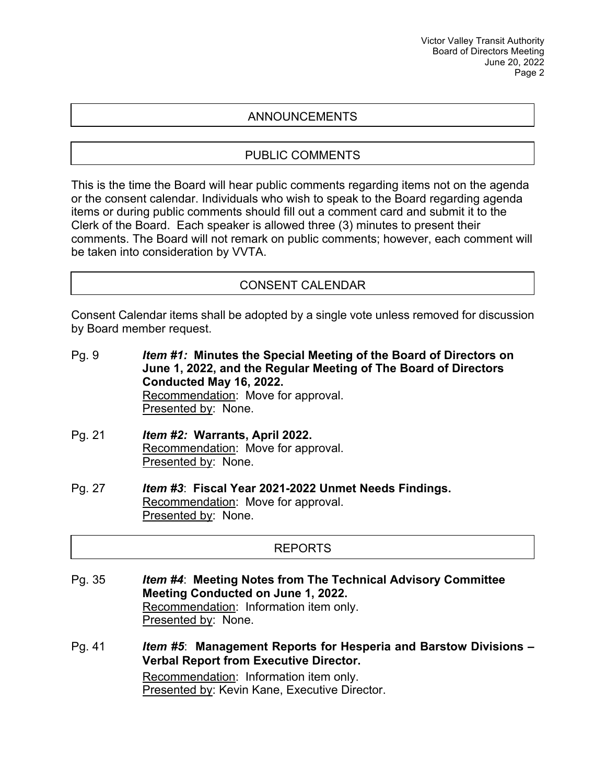#### ANNOUNCEMENTS

#### PUBLIC COMMENTS

This is the time the Board will hear public comments regarding items not on the agenda or the consent calendar. Individuals who wish to speak to the Board regarding agenda items or during public comments should fill out a comment card and submit it to the Clerk of the Board. Each speaker is allowed three (3) minutes to present their comments. The Board will not remark on public comments; however, each comment will be taken into consideration by VVTA.

#### CONSENT CALENDAR

Consent Calendar items shall be adopted by a single vote unless removed for discussion by Board member request.

Pg. 9 *Item #1:* **Minutes the Special Meeting of the Board of Directors on June 1, 2022, and the Regular Meeting of The Board of Directors Conducted May 16, 2022.** Recommendation: Move for approval. Presented by: None.

- Pg. 21 *Item #2:* **Warrants, April 2022.** Recommendation: Move for approval. Presented by: None.
- Pg. 27 *Item #3*: **Fiscal Year 2021-2022 Unmet Needs Findings.** Recommendation: Move for approval. Presented by: None.

#### REPORTS

Pg. 35 *Item #4*: **Meeting Notes from The Technical Advisory Committee Meeting Conducted on June 1, 2022.** Recommendation: Information item only. Presented by: None.

Pg. 41 *Item #5*: **Management Reports for Hesperia and Barstow Divisions – Verbal Report from Executive Director.** Recommendation: Information item only. Presented by: Kevin Kane, Executive Director.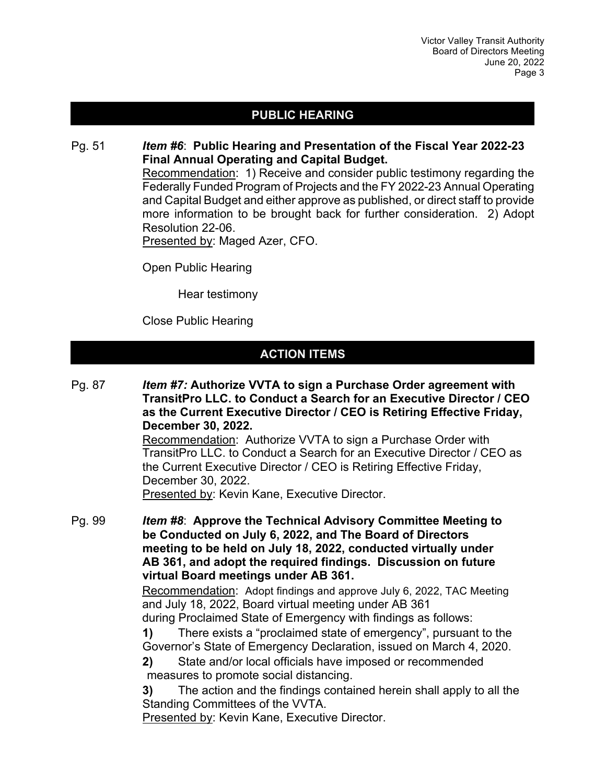## **PUBLIC HEARING**

Pg. 51 *Item #6*: **Public Hearing and Presentation of the Fiscal Year 2022-23 Final Annual Operating and Capital Budget.** Recommendation: 1) Receive and consider public testimony regarding the Federally Funded Program of Projects and the FY 2022-23 Annual Operating and Capital Budget and either approve as published, or direct staff to provide more information to be brought back for further consideration. 2) Adopt Resolution 22-06. Presented by: Maged Azer, CFO.

Open Public Hearing

Hear testimony

Close Public Hearing

## **ACTION ITEMS**

Pg. 87 *Item #7:* **Authorize VVTA to sign a Purchase Order agreement with TransitPro LLC. to Conduct a Search for an Executive Director / CEO as the Current Executive Director / CEO is Retiring Effective Friday, December 30, 2022.**

Recommendation: Authorize VVTA to sign a Purchase Order with TransitPro LLC. to Conduct a Search for an Executive Director / CEO as the Current Executive Director / CEO is Retiring Effective Friday, December 30, 2022.

Presented by: Kevin Kane, Executive Director.

Pg. 99 *Item #8*: **Approve the Technical Advisory Committee Meeting to be Conducted on July 6, 2022, and The Board of Directors meeting to be held on July 18, 2022, conducted virtually under AB 361, and adopt the required findings. Discussion on future virtual Board meetings under AB 361.**

> Recommendation: Adopt findings and approve July 6, 2022, TAC Meeting and July 18, 2022, Board virtual meeting under AB 361

> during Proclaimed State of Emergency with findings as follows: **1)** There exists a "proclaimed state of emergency", pursuant to the Governor's State of Emergency Declaration, issued on March 4, 2020.

**2)** State and/or local officials have imposed or recommended measures to promote social distancing.

**3)** The action and the findings contained herein shall apply to all the Standing Committees of the VVTA.

Presented by: Kevin Kane, Executive Director.